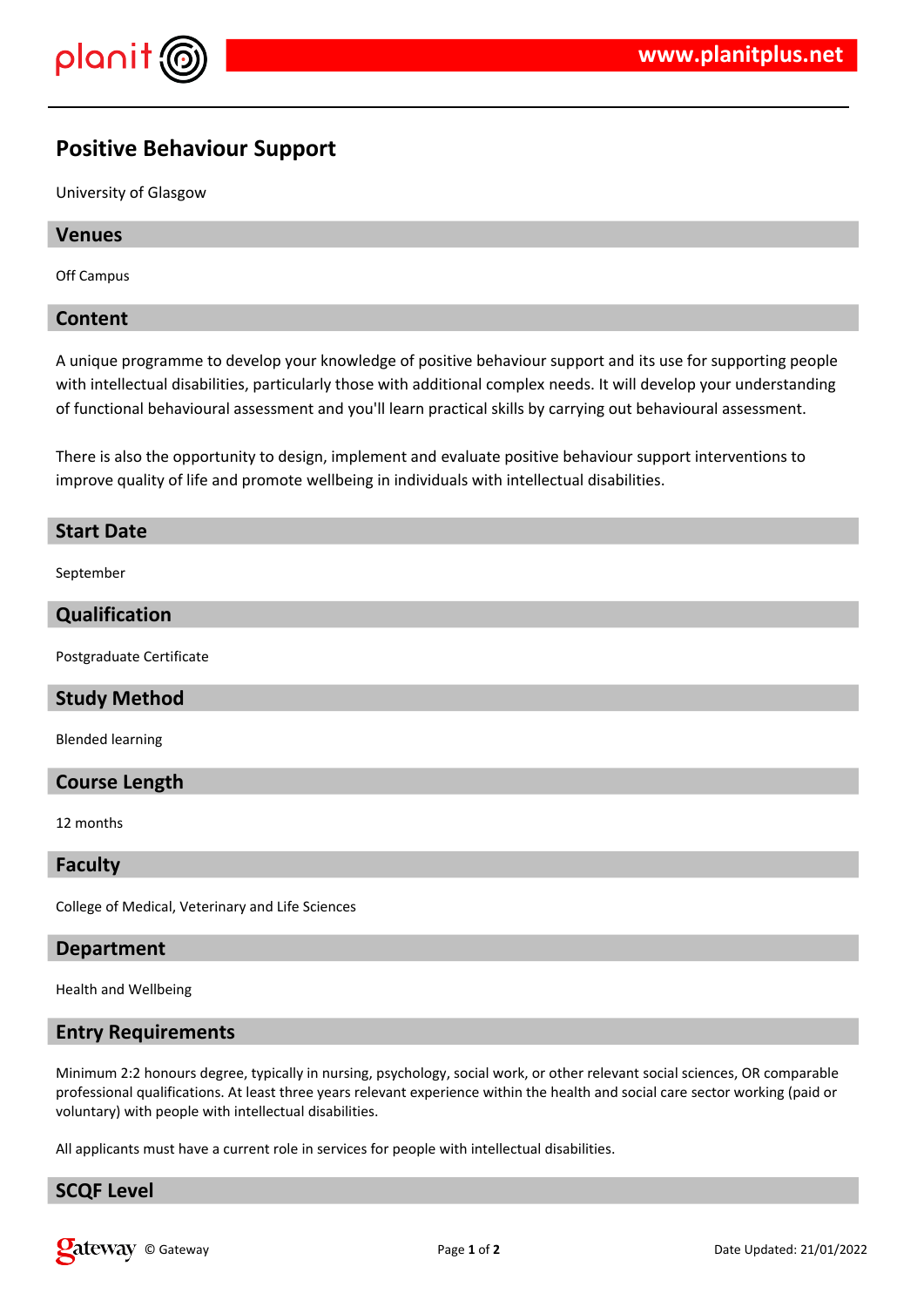

# **Positive Behaviour Support**

University of Glasgow

#### **Venues**

Off Campus

#### **Content**

A unique programme to develop your knowledge of positive behaviour support and its use for supporting people with intellectual disabilities, particularly those with additional complex needs. It will develop your understanding of functional behavioural assessment and you'll learn practical skills by carrying out behavioural assessment.

There is also the opportunity to design, implement and evaluate positive behaviour support interventions to improve quality of life and promote wellbeing in individuals with intellectual disabilities.

## **Start Date**

September

#### **Qualification**

Postgraduate Certificate

## **Study Method**

Blended learning

#### **Course Length**

12 months

#### **Faculty**

College of Medical, Veterinary and Life Sciences

#### **Department**

Health and Wellbeing

#### **Entry Requirements**

Minimum 2:2 honours degree, typically in nursing, psychology, social work, or other relevant social sciences, OR comparable professional qualifications. At least three years relevant experience within the health and social care sector working (paid or voluntary) with people with intellectual disabilities.

All applicants must have a current role in services for people with intellectual disabilities.

## **SCQF Level**